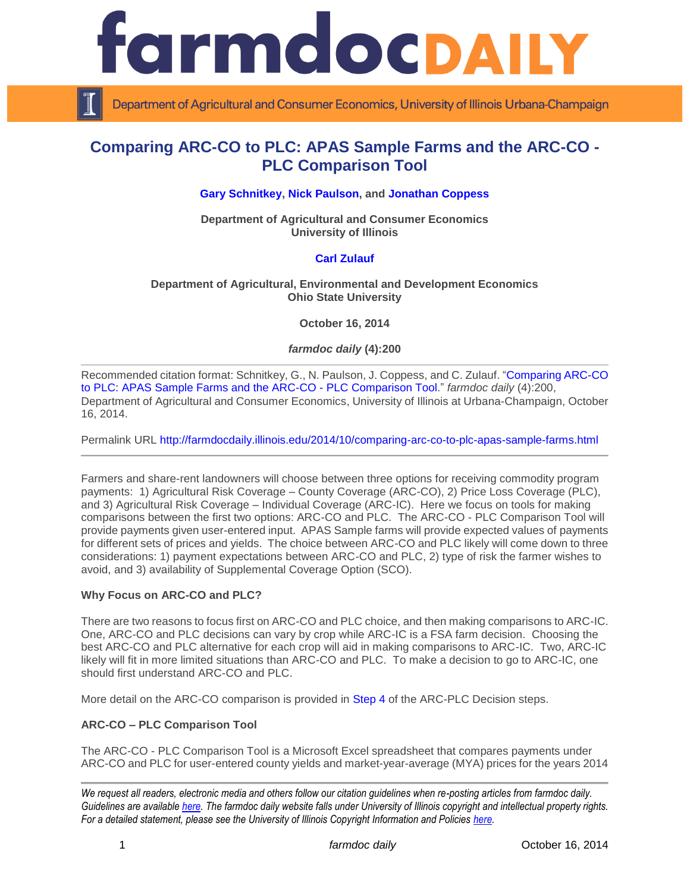

Department of Agricultural and Consumer Economics, University of Illinois Urbana-Champaign

# **Comparing ARC-CO to PLC: APAS Sample Farms and the ARC-CO - PLC Comparison Tool**

### **[Gary Schnitkey,](http://farmdoc.illinois.edu/schnitkey) [Nick Paulson,](http://www.farmdoc.illinois.edu/paulson) and [Jonathan Coppess](http://farmdoc.illinois.edu/coppess)**

**Department of Agricultural and Consumer Economics University of Illinois**

#### **[Carl Zulauf](http://aede.osu.edu/our-people/carl-zulauf)**

#### **Department of Agricultural, Environmental and Development Economics Ohio State University**

**October 16, 2014**

#### *farmdoc daily* **(4):200**

Recommended citation format: Schnitkey, G., N. Paulson, J. Coppess, and C. Zulauf. ["Comparing ARC-CO](http://farmdocdaily.illinois.edu/2014/10/comparing-arc-co-to-plc-apas-sample-farms.html)  [to PLC: APAS Sample Farms and the ARC-CO -](http://farmdocdaily.illinois.edu/2014/10/comparing-arc-co-to-plc-apas-sample-farms.html) PLC Comparison Tool." *farmdoc daily* (4):200, Department of Agricultural and Consumer Economics, University of Illinois at Urbana-Champaign, October 16, 2014.

Permalink URL<http://farmdocdaily.illinois.edu/2014/10/comparing-arc-co-to-plc-apas-sample-farms.html>

Farmers and share-rent landowners will choose between three options for receiving commodity program payments: 1) Agricultural Risk Coverage – County Coverage (ARC-CO), 2) Price Loss Coverage (PLC), and 3) Agricultural Risk Coverage – Individual Coverage (ARC-IC). Here we focus on tools for making comparisons between the first two options: ARC-CO and PLC. The ARC-CO - PLC Comparison Tool will provide payments given user-entered input. APAS Sample farms will provide expected values of payments for different sets of prices and yields. The choice between ARC-CO and PLC likely will come down to three considerations: 1) payment expectations between ARC-CO and PLC, 2) type of risk the farmer wishes to avoid, and 3) availability of Supplemental Coverage Option (SCO).

#### **Why Focus on ARC-CO and PLC?**

There are two reasons to focus first on ARC-CO and PLC choice, and then making comparisons to ARC-IC. One, ARC-CO and PLC decisions can vary by crop while ARC-IC is a FSA farm decision. Choosing the best ARC-CO and PLC alternative for each crop will aid in making comparisons to ARC-IC. Two, ARC-IC likely will fit in more limited situations than ARC-CO and PLC. To make a decision to go to ARC-IC, one should first understand ARC-CO and PLC.

More detail on the ARC-CO comparison is provided in [Step 4](http://farmbilltoolbox.farmdoc.illinois.edu/arc-plc-decision-steps.html) of the ARC-PLC Decision steps.

# **ARC-CO – PLC Comparison Tool**

The ARC-CO - PLC Comparison Tool is a Microsoft Excel spreadsheet that compares payments under ARC-CO and PLC for user-entered county yields and market-year-average (MYA) prices for the years 2014

*We request all readers, electronic media and others follow our citation guidelines when re-posting articles from farmdoc daily. Guidelines are available [here.](http://farmdocdaily.illinois.edu/citationguide.html) The farmdoc daily website falls under University of Illinois copyright and intellectual property rights. For a detailed statement, please see the University of Illinois Copyright Information and Policies [here.](http://www.cio.illinois.edu/policies/copyright/)*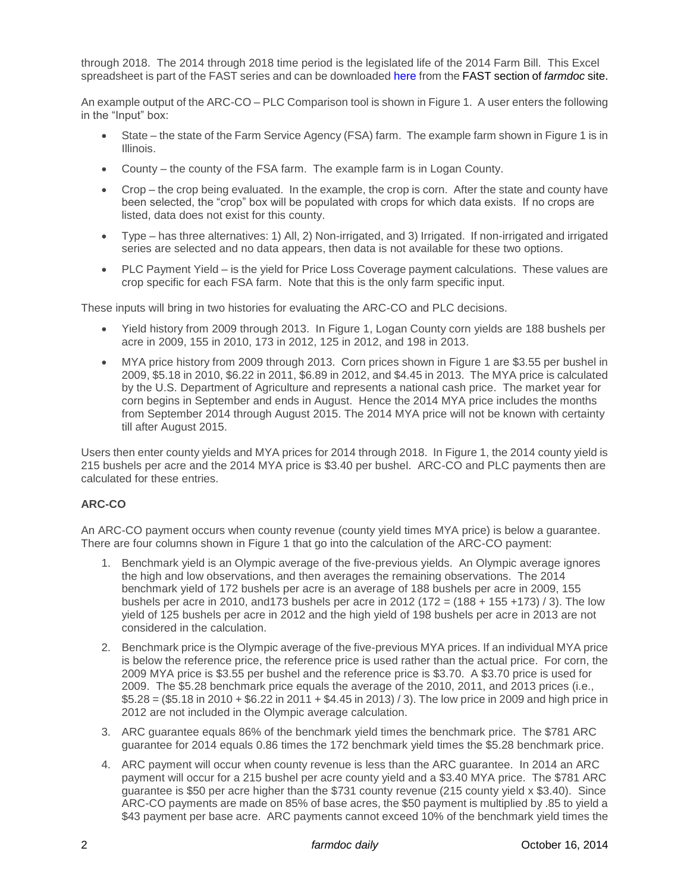through 2018. The 2014 through 2018 time period is the legislated life of the 2014 Farm Bill. This Excel spreadsheet is part of the FAST series and can be downloaded [here](http://farmdoc.illinois.edu/pubs/FASTtool_special_ARC-COPLC.asp) from the FAST section of *farmdoc* site.

An example output of the ARC-CO – PLC Comparison tool is shown in Figure 1. A user enters the following in the "Input" box:

- State the state of the Farm Service Agency (FSA) farm. The example farm shown in Figure 1 is in Illinois.
- County the county of the FSA farm. The example farm is in Logan County.
- Crop the crop being evaluated. In the example, the crop is corn. After the state and county have been selected, the "crop" box will be populated with crops for which data exists. If no crops are listed, data does not exist for this county.
- Type has three alternatives: 1) All, 2) Non-irrigated, and 3) Irrigated. If non-irrigated and irrigated series are selected and no data appears, then data is not available for these two options.
- PLC Payment Yield is the yield for Price Loss Coverage payment calculations. These values are crop specific for each FSA farm. Note that this is the only farm specific input.

These inputs will bring in two histories for evaluating the ARC-CO and PLC decisions.

- Yield history from 2009 through 2013. In Figure 1, Logan County corn yields are 188 bushels per acre in 2009, 155 in 2010, 173 in 2012, 125 in 2012, and 198 in 2013.
- MYA price history from 2009 through 2013. Corn prices shown in Figure 1 are \$3.55 per bushel in 2009, \$5.18 in 2010, \$6.22 in 2011, \$6.89 in 2012, and \$4.45 in 2013. The MYA price is calculated by the U.S. Department of Agriculture and represents a national cash price. The market year for corn begins in September and ends in August. Hence the 2014 MYA price includes the months from September 2014 through August 2015. The 2014 MYA price will not be known with certainty till after August 2015.

Users then enter county yields and MYA prices for 2014 through 2018. In Figure 1, the 2014 county yield is 215 bushels per acre and the 2014 MYA price is \$3.40 per bushel. ARC-CO and PLC payments then are calculated for these entries.

# **ARC-CO**

An ARC-CO payment occurs when county revenue (county yield times MYA price) is below a guarantee. There are four columns shown in Figure 1 that go into the calculation of the ARC-CO payment:

- 1. Benchmark yield is an Olympic average of the five-previous yields. An Olympic average ignores the high and low observations, and then averages the remaining observations. The 2014 benchmark yield of 172 bushels per acre is an average of 188 bushels per acre in 2009, 155 bushels per acre in 2010, and 173 bushels per acre in 2012 (172 =  $(188 + 155 + 173)$  / 3). The low yield of 125 bushels per acre in 2012 and the high yield of 198 bushels per acre in 2013 are not considered in the calculation.
- 2. Benchmark price is the Olympic average of the five-previous MYA prices. If an individual MYA price is below the reference price, the reference price is used rather than the actual price. For corn, the 2009 MYA price is \$3.55 per bushel and the reference price is \$3.70. A \$3.70 price is used for 2009. The \$5.28 benchmark price equals the average of the 2010, 2011, and 2013 prices (i.e., \$5.28 = (\$5.18 in 2010 + \$6.22 in 2011 + \$4.45 in 2013) / 3). The low price in 2009 and high price in 2012 are not included in the Olympic average calculation.
- 3. ARC guarantee equals 86% of the benchmark yield times the benchmark price. The \$781 ARC guarantee for 2014 equals 0.86 times the 172 benchmark yield times the \$5.28 benchmark price.
- 4. ARC payment will occur when county revenue is less than the ARC guarantee. In 2014 an ARC payment will occur for a 215 bushel per acre county yield and a \$3.40 MYA price. The \$781 ARC guarantee is \$50 per acre higher than the \$731 county revenue (215 county yield x \$3.40). Since ARC-CO payments are made on 85% of base acres, the \$50 payment is multiplied by .85 to yield a \$43 payment per base acre. ARC payments cannot exceed 10% of the benchmark yield times the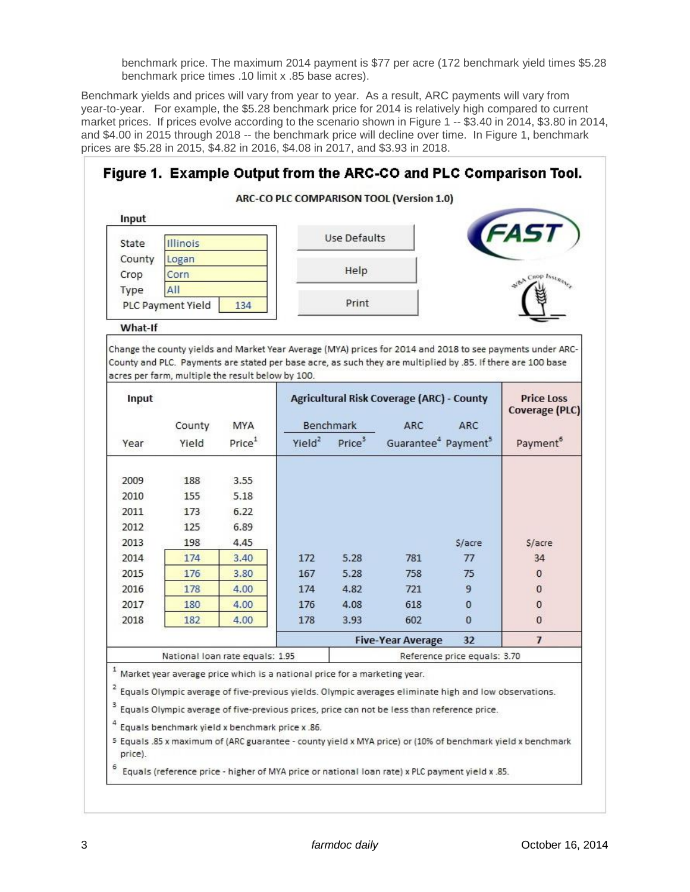benchmark price. The maximum 2014 payment is \$77 per acre (172 benchmark yield times \$5.28 benchmark price times .10 limit x .85 base acres).

Benchmark yields and prices will vary from year to year. As a result, ARC payments will vary from year-to-year. For example, the \$5.28 benchmark price for 2014 is relatively high compared to current market prices. If prices evolve according to the scenario shown in Figure 1 -- \$3.40 in 2014, \$3.80 in 2014, and \$4.00 in 2015 through 2018 -- the benchmark price will decline over time. In Figure 1, benchmark prices are \$5.28 in 2015, \$4.82 in 2016, \$4.08 in 2017, and \$3.93 in 2018.

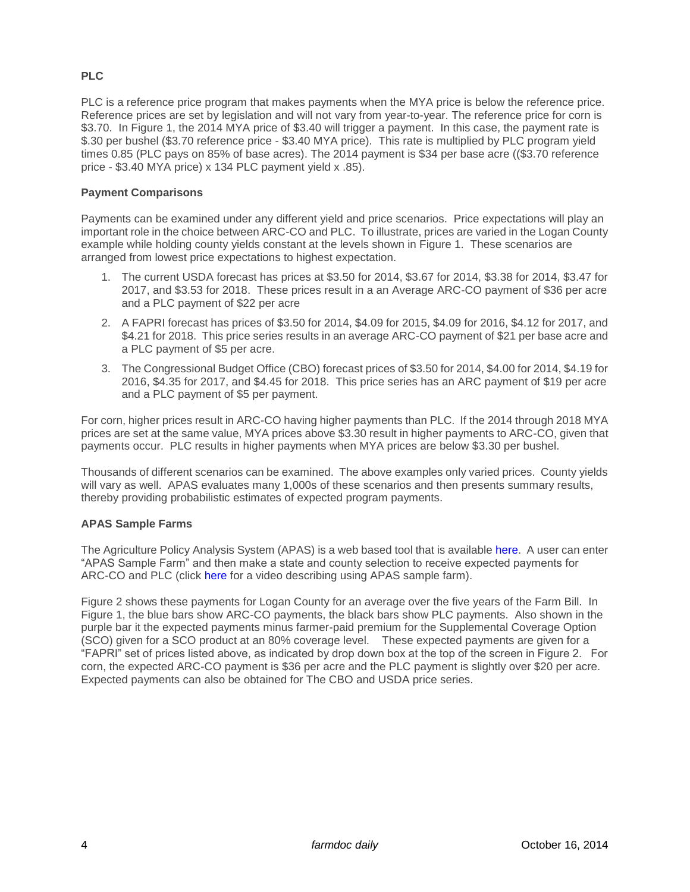# **PLC**

PLC is a reference price program that makes payments when the MYA price is below the reference price. Reference prices are set by legislation and will not vary from year-to-year. The reference price for corn is \$3.70. In Figure 1, the 2014 MYA price of \$3.40 will trigger a payment. In this case, the payment rate is \$.30 per bushel (\$3.70 reference price - \$3.40 MYA price). This rate is multiplied by PLC program yield times 0.85 (PLC pays on 85% of base acres). The 2014 payment is \$34 per base acre ((\$3.70 reference price - \$3.40 MYA price) x 134 PLC payment yield x .85).

# **Payment Comparisons**

Payments can be examined under any different yield and price scenarios. Price expectations will play an important role in the choice between ARC-CO and PLC. To illustrate, prices are varied in the Logan County example while holding county yields constant at the levels shown in Figure 1. These scenarios are arranged from lowest price expectations to highest expectation.

- 1. The current USDA forecast has prices at \$3.50 for 2014, \$3.67 for 2014, \$3.38 for 2014, \$3.47 for 2017, and \$3.53 for 2018. These prices result in a an Average ARC-CO payment of \$36 per acre and a PLC payment of \$22 per acre
- 2. A FAPRI forecast has prices of \$3.50 for 2014, \$4.09 for 2015, \$4.09 for 2016, \$4.12 for 2017, and \$4.21 for 2018. This price series results in an average ARC-CO payment of \$21 per base acre and a PLC payment of \$5 per acre.
- 3. The Congressional Budget Office (CBO) forecast prices of \$3.50 for 2014, \$4.00 for 2014, \$4.19 for 2016, \$4.35 for 2017, and \$4.45 for 2018. This price series has an ARC payment of \$19 per acre and a PLC payment of \$5 per payment.

For corn, higher prices result in ARC-CO having higher payments than PLC. If the 2014 through 2018 MYA prices are set at the same value, MYA prices above \$3.30 result in higher payments to ARC-CO, given that payments occur. PLC results in higher payments when MYA prices are below \$3.30 per bushel.

Thousands of different scenarios can be examined. The above examples only varied prices. County yields will vary as well. APAS evaluates many 1,000s of these scenarios and then presents summary results, thereby providing probabilistic estimates of expected program payments.

# **APAS Sample Farms**

The Agriculture Policy Analysis System (APAS) is a web based tool that is available [here.](http://fsa.usapas.com/Default.aspx) A user can enter "APAS Sample Farm" and then make a state and county selection to receive expected payments for ARC-CO and PLC (click [here](https://www.youtube.com/watch?v=VvQL2fmsyM8) for a video describing using APAS sample farm).

Figure 2 shows these payments for Logan County for an average over the five years of the Farm Bill. In Figure 1, the blue bars show ARC-CO payments, the black bars show PLC payments. Also shown in the purple bar it the expected payments minus farmer-paid premium for the Supplemental Coverage Option (SCO) given for a SCO product at an 80% coverage level. These expected payments are given for a "FAPRI" set of prices listed above, as indicated by drop down box at the top of the screen in Figure 2. For corn, the expected ARC-CO payment is \$36 per acre and the PLC payment is slightly over \$20 per acre. Expected payments can also be obtained for The CBO and USDA price series.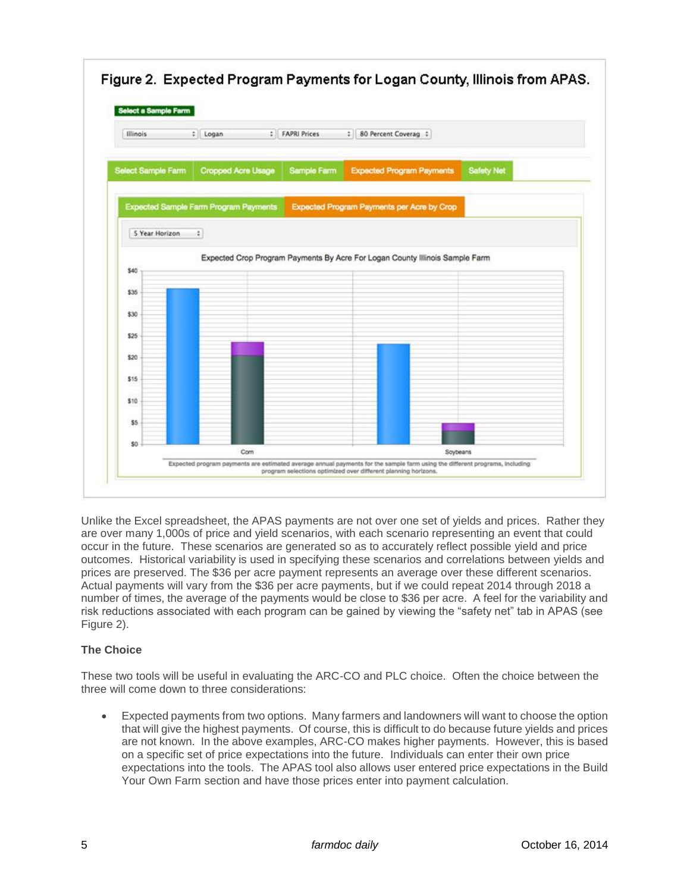

Unlike the Excel spreadsheet, the APAS payments are not over one set of yields and prices. Rather they are over many 1,000s of price and yield scenarios, with each scenario representing an event that could occur in the future. These scenarios are generated so as to accurately reflect possible yield and price outcomes. Historical variability is used in specifying these scenarios and correlations between yields and prices are preserved. The \$36 per acre payment represents an average over these different scenarios. Actual payments will vary from the \$36 per acre payments, but if we could repeat 2014 through 2018 a number of times, the average of the payments would be close to \$36 per acre. A feel for the variability and risk reductions associated with each program can be gained by viewing the "safety net" tab in APAS (see Figure 2).

# **The Choice**

These two tools will be useful in evaluating the ARC-CO and PLC choice. Often the choice between the three will come down to three considerations:

 Expected payments from two options. Many farmers and landowners will want to choose the option that will give the highest payments. Of course, this is difficult to do because future yields and prices are not known. In the above examples, ARC-CO makes higher payments. However, this is based on a specific set of price expectations into the future. Individuals can enter their own price expectations into the tools. The APAS tool also allows user entered price expectations in the Build Your Own Farm section and have those prices enter into payment calculation.